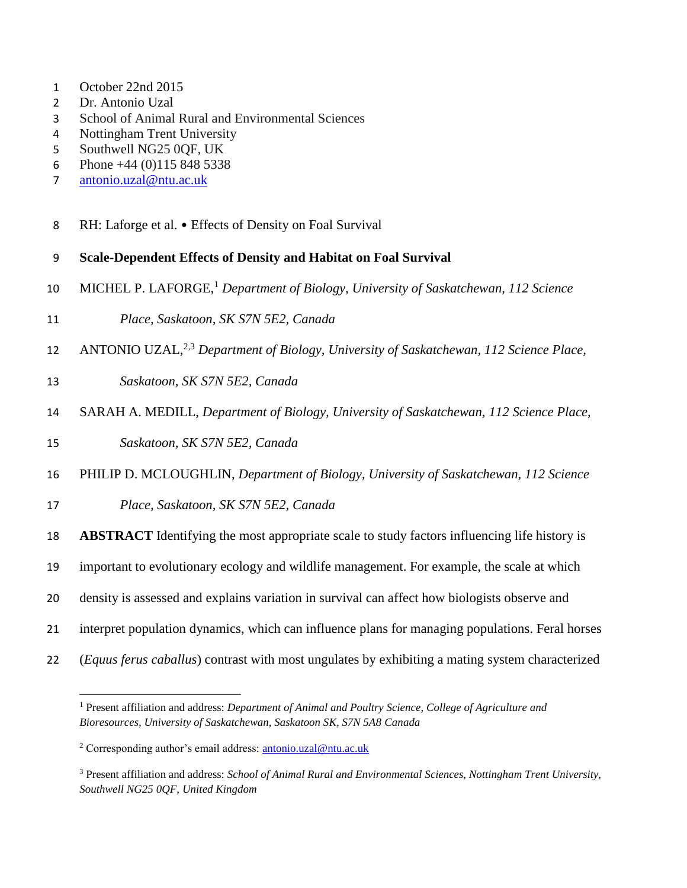- October 22nd 2015
- Dr. Antonio Uzal
- School of Animal Rural and Environmental Sciences
- Nottingham Trent University
- Southwell NG25 0QF, UK
- Phone +44 (0)115 848 5338
- [antonio.uzal@ntu.ac.uk](mailto:antonio.uzal@ntu.ac.uk)
- 8 RH: Laforge et al. Effects of Density on Foal Survival

# **Scale-Dependent Effects of Density and Habitat on Foal Survival**

- 10 MICHEL P. LAFORGE,<sup>1</sup> Department of Biology, University of Saskatchewan, 112 Science
- *Place, Saskatoon, SK S7N 5E2, Canada*
- 12 ANTONIO UZAL,<sup>2,3</sup> Department of Biology, University of Saskatchewan, 112 Science Place,
- *Saskatoon, SK S7N 5E2, Canada*
- SARAH A. MEDILL, *Department of Biology, University of Saskatchewan, 112 Science Place,*
- *Saskatoon, SK S7N 5E2, Canada*

 $\overline{\phantom{a}}$ 

- PHILIP D. MCLOUGHLIN, *Department of Biology, University of Saskatchewan, 112 Science*
- *Place, Saskatoon, SK S7N 5E2, Canada*
- **ABSTRACT** Identifying the most appropriate scale to study factors influencing life history is
- important to evolutionary ecology and wildlife management. For example, the scale at which
- density is assessed and explains variation in survival can affect how biologists observe and
- interpret population dynamics, which can influence plans for managing populations. Feral horses
- (*Equus ferus caballus*) contrast with most ungulates by exhibiting a mating system characterized
	- Present affiliation and address: *Department of Animal and Poultry Science, College of Agriculture and Bioresources, University of Saskatchewan, Saskatoon SK, S7N 5A8 Canada*

Corresponding author's email address: [antonio.uzal@ntu.ac.uk](mailto:antonio.uzal@ntu.ac.uk)

 Present affiliation and address: *School of Animal Rural and Environmental Sciences, Nottingham Trent University, Southwell NG25 0QF, United Kingdom*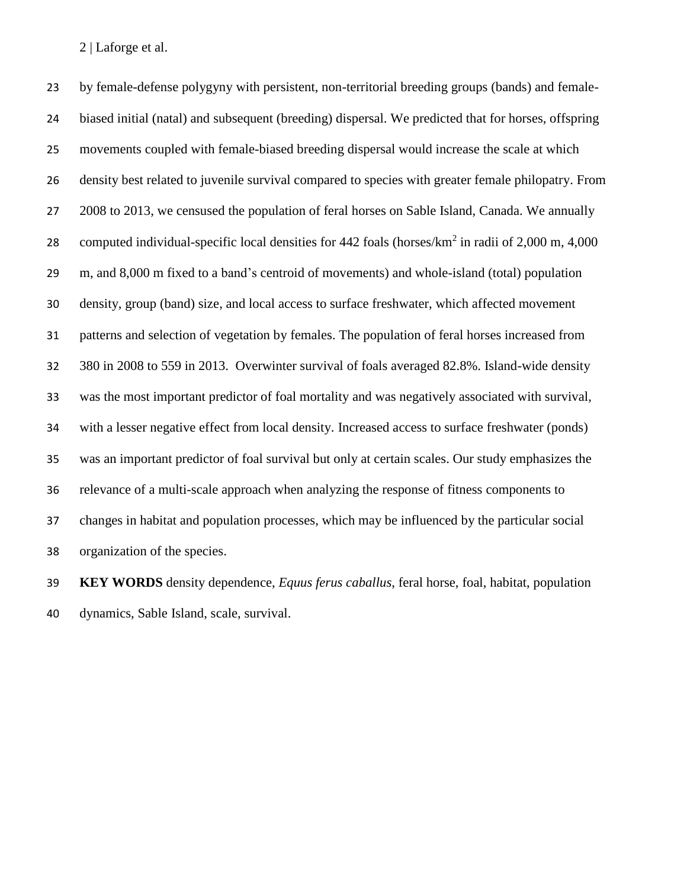by female-defense polygyny with persistent, non-territorial breeding groups (bands) and female- biased initial (natal) and subsequent (breeding) dispersal. We predicted that for horses, offspring movements coupled with female-biased breeding dispersal would increase the scale at which density best related to juvenile survival compared to species with greater female philopatry. From 2008 to 2013, we censused the population of feral horses on Sable Island, Canada. We annually 28 computed individual-specific local densities for foals (horses/km<sup>2</sup> in radii of 2,000 m, 4,000 m, and 8,000 m fixed to a band's centroid of movements) and whole-island (total) population density, group (band) size, and local access to surface freshwater, which affected movement patterns and selection of vegetation by females. The population of feral horses increased from 380 in 2008 to 559 in 2013. Overwinter survival of foals averaged 82.8%. Island-wide density was the most important predictor of foal mortality and was negatively associated with survival, with a lesser negative effect from local density. Increased access to surface freshwater (ponds) was an important predictor of foal survival but only at certain scales. Our study emphasizes the relevance of a multi-scale approach when analyzing the response of fitness components to changes in habitat and population processes, which may be influenced by the particular social organization of the species.

 **KEY WORDS** density dependence, *Equus ferus caballus*, feral horse, foal, habitat, population dynamics, Sable Island, scale, survival.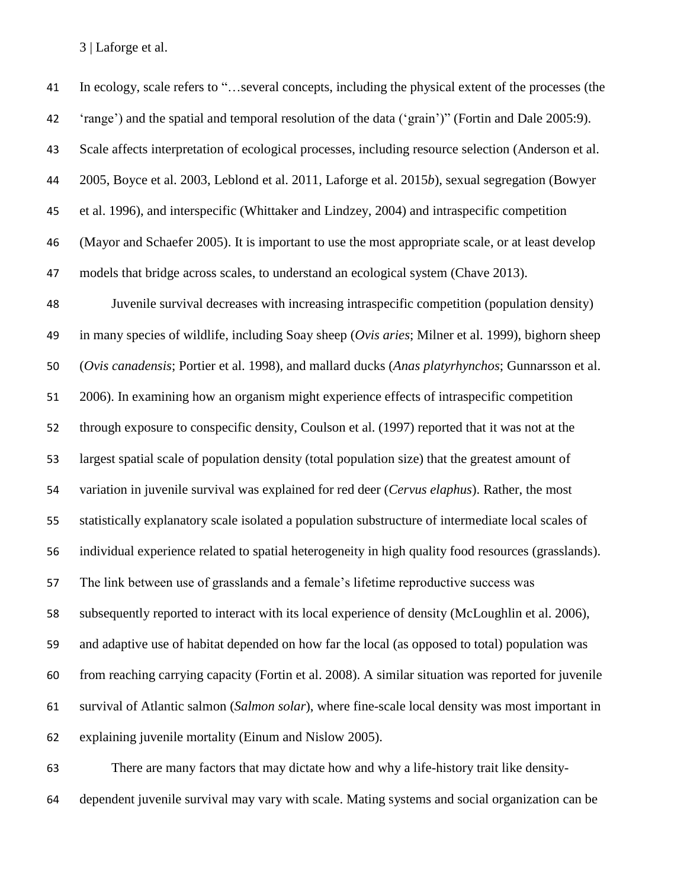In ecology, scale refers to "…several concepts, including the physical extent of the processes (the 'range') and the spatial and temporal resolution of the data ('grain')" (Fortin and Dale 2005:9). Scale affects interpretation of ecological processes, including resource selection (Anderson et al. 2005, Boyce et al. 2003, Leblond et al. 2011, Laforge et al. 2015*b*), sexual segregation (Bowyer et al. 1996), and interspecific (Whittaker and Lindzey, 2004) and intraspecific competition (Mayor and Schaefer 2005). It is important to use the most appropriate scale, or at least develop models that bridge across scales, to understand an ecological system (Chave 2013). Juvenile survival decreases with increasing intraspecific competition (population density) in many species of wildlife, including Soay sheep (*Ovis aries*; Milner et al. 1999), bighorn sheep (*Ovis canadensis*; Portier et al. 1998), and mallard ducks (*Anas platyrhynchos*; Gunnarsson et al. 2006). In examining how an organism might experience effects of intraspecific competition through exposure to conspecific density, Coulson et al. (1997) reported that it was not at the largest spatial scale of population density (total population size) that the greatest amount of variation in juvenile survival was explained for red deer (*Cervus elaphus*). Rather, the most statistically explanatory scale isolated a population substructure of intermediate local scales of individual experience related to spatial heterogeneity in high quality food resources (grasslands). The link between use of grasslands and a female's lifetime reproductive success was subsequently reported to interact with its local experience of density (McLoughlin et al. 2006), and adaptive use of habitat depended on how far the local (as opposed to total) population was from reaching carrying capacity (Fortin et al. 2008). A similar situation was reported for juvenile survival of Atlantic salmon (*Salmon solar*), where fine-scale local density was most important in explaining juvenile mortality (Einum and Nislow 2005).

 There are many factors that may dictate how and why a life-history trait like density-dependent juvenile survival may vary with scale. Mating systems and social organization can be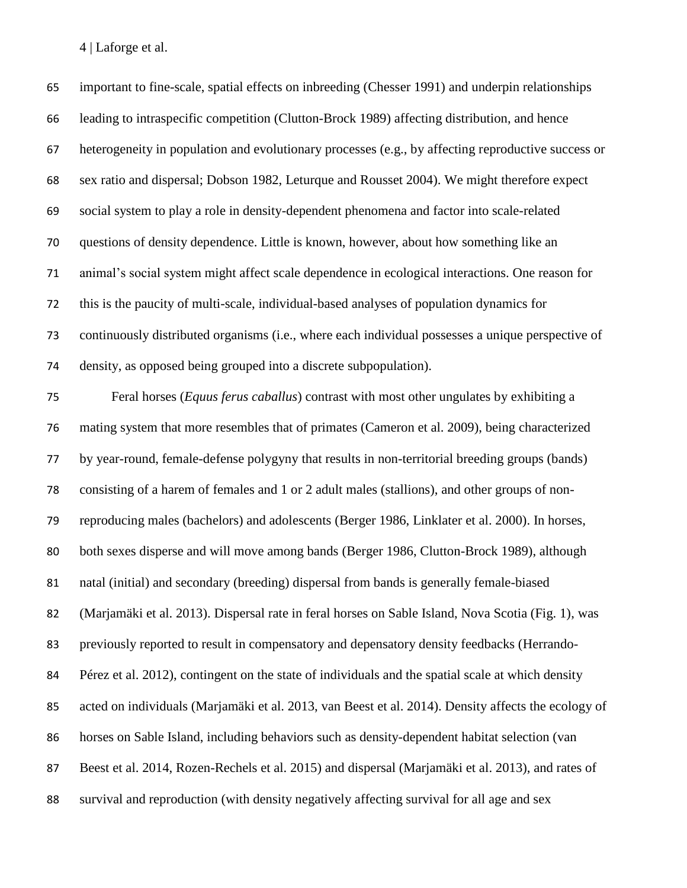| 65 | important to fine-scale, spatial effects on inbreeding (Chesser 1991) and underpin relationships    |
|----|-----------------------------------------------------------------------------------------------------|
| 66 | leading to intraspecific competition (Clutton-Brock 1989) affecting distribution, and hence         |
| 67 | heterogeneity in population and evolutionary processes (e.g., by affecting reproductive success or  |
| 68 | sex ratio and dispersal; Dobson 1982, Leturque and Rousset 2004). We might therefore expect         |
| 69 | social system to play a role in density-dependent phenomena and factor into scale-related           |
| 70 | questions of density dependence. Little is known, however, about how something like an              |
| 71 | animal's social system might affect scale dependence in ecological interactions. One reason for     |
| 72 | this is the paucity of multi-scale, individual-based analyses of population dynamics for            |
| 73 | continuously distributed organisms (i.e., where each individual possesses a unique perspective of   |
| 74 | density, as opposed being grouped into a discrete subpopulation).                                   |
| 75 | Feral horses (Equus ferus caballus) contrast with most other ungulates by exhibiting a              |
| 76 | mating system that more resembles that of primates (Cameron et al. 2009), being characterized       |
| 77 | by year-round, female-defense polygyny that results in non-territorial breeding groups (bands)      |
| 78 | consisting of a harem of females and 1 or 2 adult males (stallions), and other groups of non-       |
| 79 | reproducing males (bachelors) and adolescents (Berger 1986, Linklater et al. 2000). In horses,      |
| 80 | both sexes disperse and will move among bands (Berger 1986, Clutton-Brock 1989), although           |
| 81 | natal (initial) and secondary (breeding) dispersal from bands is generally female-biased            |
| 82 | (Marjamäki et al. 2013). Dispersal rate in feral horses on Sable Island, Nova Scotia (Fig. 1), was  |
| 83 | previously reported to result in compensatory and depensatory density feedbacks (Herrando-          |
| 84 | Pérez et al. 2012), contingent on the state of individuals and the spatial scale at which density   |
| 85 | acted on individuals (Marjamäki et al. 2013, van Beest et al. 2014). Density affects the ecology of |
| 86 | horses on Sable Island, including behaviors such as density-dependent habitat selection (van        |
| 87 | Beest et al. 2014, Rozen-Rechels et al. 2015) and dispersal (Marjamäki et al. 2013), and rates of   |
| 88 | survival and reproduction (with density negatively affecting survival for all age and sex           |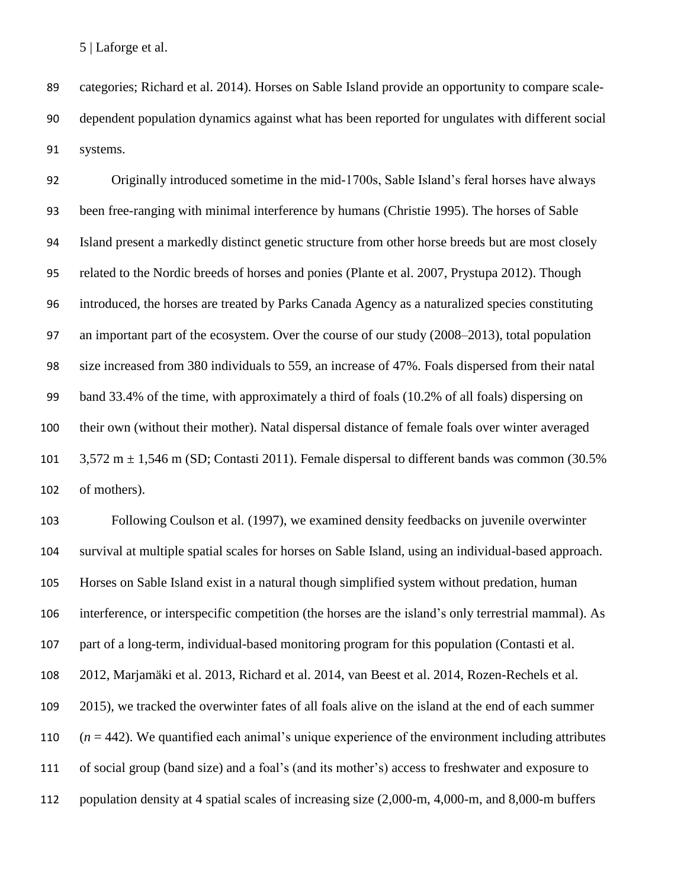categories; Richard et al. 2014). Horses on Sable Island provide an opportunity to compare scale- dependent population dynamics against what has been reported for ungulates with different social systems.

 Originally introduced sometime in the mid-1700s, Sable Island's feral horses have always been free-ranging with minimal interference by humans (Christie 1995). The horses of Sable Island present a markedly distinct genetic structure from other horse breeds but are most closely related to the Nordic breeds of horses and ponies (Plante et al. 2007, Prystupa 2012). Though introduced, the horses are treated by Parks Canada Agency as a naturalized species constituting an important part of the ecosystem. Over the course of our study (2008–2013), total population size increased from 380 individuals to 559, an increase of 47%. Foals dispersed from their natal band 33.4% of the time, with approximately a third of foals (10.2% of all foals) dispersing on their own (without their mother). Natal dispersal distance of female foals over winter averaged  $3,572 \text{ m} \pm 1,546 \text{ m}$  (SD; Contasti 2011). Female dispersal to different bands was common (30.5%) of mothers).

 Following Coulson et al. (1997), we examined density feedbacks on juvenile overwinter survival at multiple spatial scales for horses on Sable Island, using an individual-based approach. Horses on Sable Island exist in a natural though simplified system without predation, human interference, or interspecific competition (the horses are the island's only terrestrial mammal). As part of a long-term, individual-based monitoring program for this population (Contasti et al. 2012, Marjamäki et al. 2013, Richard et al. 2014, van Beest et al. 2014, Rozen-Rechels et al. 2015), we tracked the overwinter fates of all foals alive on the island at the end of each summer  $(n = 442)$ . We quantified each animal's unique experience of the environment including attributes of social group (band size) and a foal's (and its mother's) access to freshwater and exposure to population density at 4 spatial scales of increasing size (2,000-m, 4,000-m, and 8,000-m buffers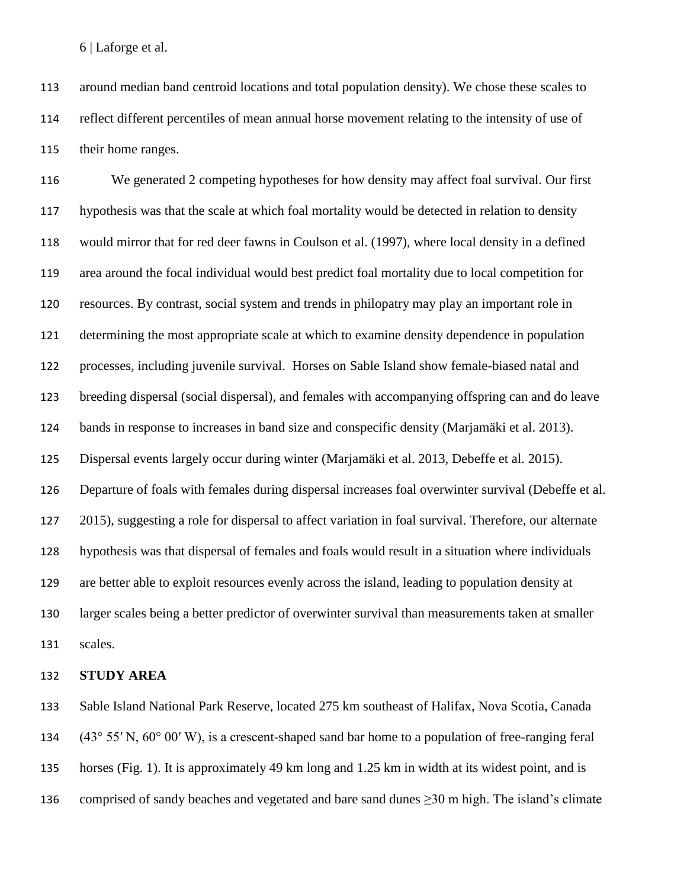around median band centroid locations and total population density). We chose these scales to reflect different percentiles of mean annual horse movement relating to the intensity of use of their home ranges.

 We generated 2 competing hypotheses for how density may affect foal survival. Our first hypothesis was that the scale at which foal mortality would be detected in relation to density would mirror that for red deer fawns in Coulson et al. (1997), where local density in a defined area around the focal individual would best predict foal mortality due to local competition for resources. By contrast, social system and trends in philopatry may play an important role in determining the most appropriate scale at which to examine density dependence in population processes, including juvenile survival. Horses on Sable Island show female-biased natal and breeding dispersal (social dispersal), and females with accompanying offspring can and do leave bands in response to increases in band size and conspecific density (Marjamäki et al. 2013). Dispersal events largely occur during winter (Marjamäki et al. 2013, Debeffe et al. 2015). Departure of foals with females during dispersal increases foal overwinter survival (Debeffe et al. 2015), suggesting a role for dispersal to affect variation in foal survival. Therefore, our alternate hypothesis was that dispersal of females and foals would result in a situation where individuals are better able to exploit resources evenly across the island, leading to population density at larger scales being a better predictor of overwinter survival than measurements taken at smaller scales.

#### **STUDY AREA**

 Sable Island National Park Reserve, located 275 km southeast of Halifax, Nova Scotia, Canada (43° 55′ N, 60° 00′ W), is a crescent-shaped sand bar home to a population of free-ranging feral horses (Fig. 1). It is approximately 49 km long and 1.25 km in width at its widest point, and is 136 comprised of sandy beaches and vegetated and bare sand dunes  $\geq$ 30 m high. The island's climate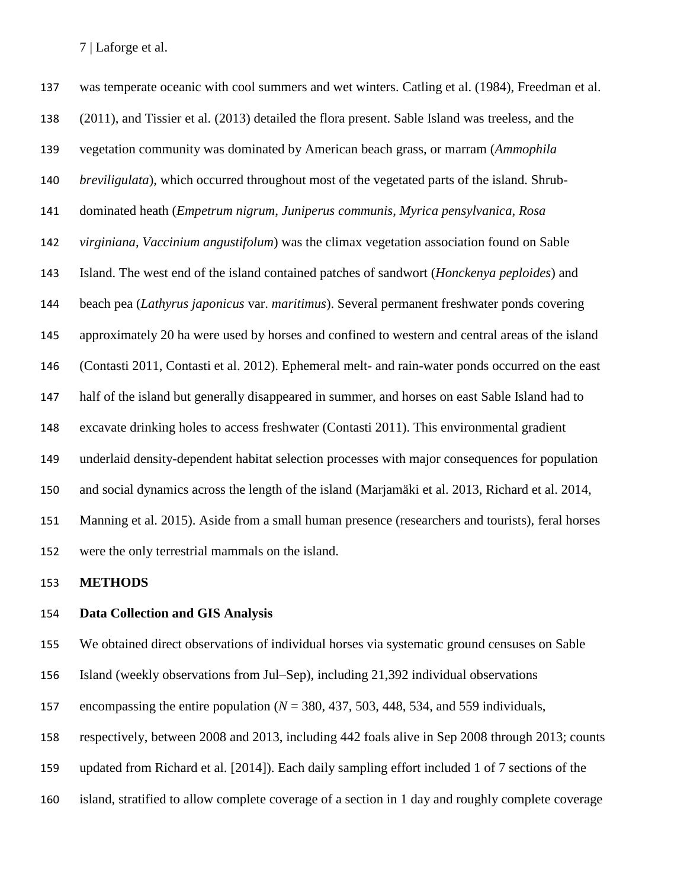was temperate oceanic with cool summers and wet winters. Catling et al. (1984), Freedman et al. (2011), and Tissier et al. (2013) detailed the flora present. Sable Island was treeless, and the vegetation community was dominated by American beach grass, or marram (*Ammophila breviligulata*), which occurred throughout most of the vegetated parts of the island. Shrub- dominated heath (*Empetrum nigrum*, *Juniperus communis*, *Myrica pensylvanica*, *Rosa virginiana*, *Vaccinium angustifolum*) was the climax vegetation association found on Sable Island. The west end of the island contained patches of sandwort (*Honckenya peploides*) and beach pea (*Lathyrus japonicus* var. *maritimus*). Several permanent freshwater ponds covering approximately 20 ha were used by horses and confined to western and central areas of the island (Contasti 2011, Contasti et al. 2012). Ephemeral melt- and rain-water ponds occurred on the east half of the island but generally disappeared in summer, and horses on east Sable Island had to excavate drinking holes to access freshwater (Contasti 2011). This environmental gradient underlaid density-dependent habitat selection processes with major consequences for population and social dynamics across the length of the island (Marjamäki et al. 2013, Richard et al. 2014, Manning et al. 2015). Aside from a small human presence (researchers and tourists), feral horses were the only terrestrial mammals on the island.

# **METHODS**

# **Data Collection and GIS Analysis**

We obtained direct observations of individual horses via systematic ground censuses on Sable

Island (weekly observations from Jul–Sep), including 21,392 individual observations

encompassing the entire population (*N* = 380, 437, 503, 448, 534, and 559 individuals,

respectively, between 2008 and 2013, including 442 foals alive in Sep 2008 through 2013; counts

updated from Richard et al. [2014]). Each daily sampling effort included 1 of 7 sections of the

island, stratified to allow complete coverage of a section in 1 day and roughly complete coverage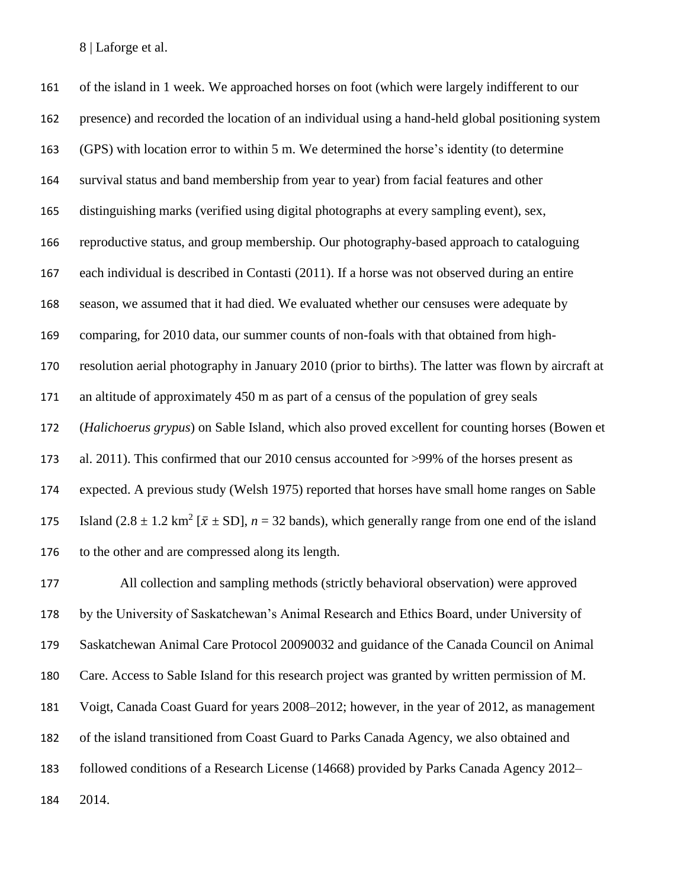of the island in 1 week. We approached horses on foot (which were largely indifferent to our presence) and recorded the location of an individual using a hand-held global positioning system (GPS) with location error to within 5 m. We determined the horse's identity (to determine survival status and band membership from year to year) from facial features and other distinguishing marks (verified using digital photographs at every sampling event), sex, reproductive status, and group membership. Our photography-based approach to cataloguing each individual is described in Contasti (2011). If a horse was not observed during an entire season, we assumed that it had died. We evaluated whether our censuses were adequate by comparing, for 2010 data, our summer counts of non-foals with that obtained from high- resolution aerial photography in January 2010 (prior to births). The latter was flown by aircraft at an altitude of approximately 450 m as part of a census of the population of grey seals (*Halichoerus grypus*) on Sable Island, which also proved excellent for counting horses (Bowen et al. 2011). This confirmed that our 2010 census accounted for >99% of the horses present as expected. A previous study (Welsh 1975) reported that horses have small home ranges on Sable 175 Island  $(2.8 \pm 1.2 \text{ km}^2 [\bar{x} \pm SD], n = 32 \text{ bands})$ , which generally range from one end of the island to the other and are compressed along its length.

 All collection and sampling methods (strictly behavioral observation) were approved by the University of Saskatchewan's Animal Research and Ethics Board, under University of Saskatchewan Animal Care Protocol 20090032 and guidance of the Canada Council on Animal Care. Access to Sable Island for this research project was granted by written permission of M. Voigt, Canada Coast Guard for years 2008–2012; however, in the year of 2012, as management of the island transitioned from Coast Guard to Parks Canada Agency, we also obtained and followed conditions of a Research License (14668) provided by Parks Canada Agency 2012– 2014.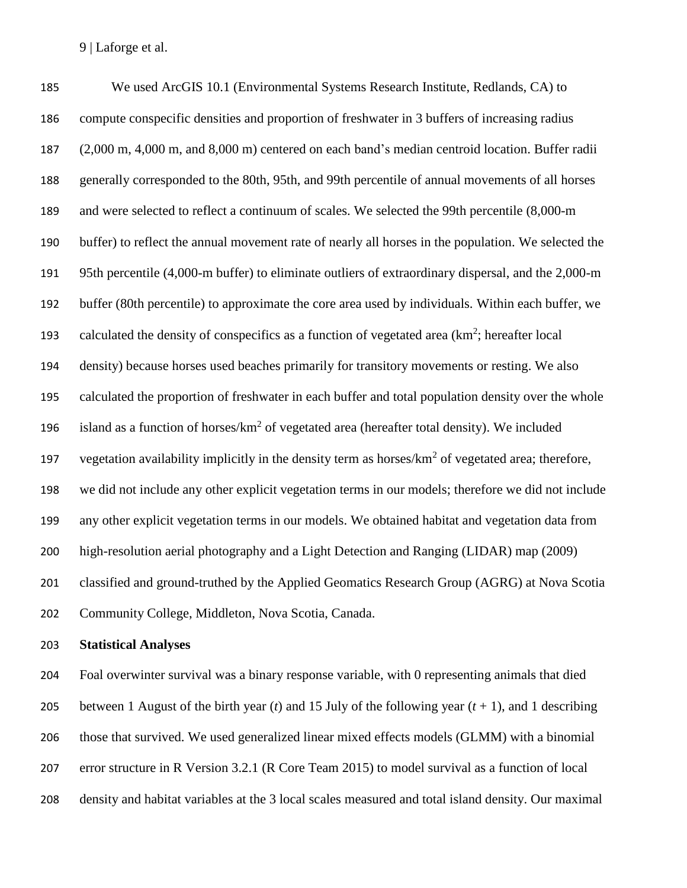We used ArcGIS 10.1 (Environmental Systems Research Institute, Redlands, CA) to compute conspecific densities and proportion of freshwater in 3 buffers of increasing radius (2,000 m, 4,000 m, and 8,000 m) centered on each band's median centroid location. Buffer radii generally corresponded to the 80th, 95th, and 99th percentile of annual movements of all horses and were selected to reflect a continuum of scales. We selected the 99th percentile (8,000-m buffer) to reflect the annual movement rate of nearly all horses in the population. We selected the 95th percentile (4,000-m buffer) to eliminate outliers of extraordinary dispersal, and the 2,000-m buffer (80th percentile) to approximate the core area used by individuals. Within each buffer, we 193 calculated the density of conspecifics as a function of vegetated area  $(km^2)$ ; hereafter local density) because horses used beaches primarily for transitory movements or resting. We also calculated the proportion of freshwater in each buffer and total population density over the whole 196 island as a function of horses/ $km^2$  of vegetated area (hereafter total density). We included 197 vegetation availability implicitly in the density term as horses/ $km^2$  of vegetated area; therefore, we did not include any other explicit vegetation terms in our models; therefore we did not include any other explicit vegetation terms in our models. We obtained habitat and vegetation data from high-resolution aerial photography and a Light Detection and Ranging (LIDAR) map (2009) classified and ground-truthed by the Applied Geomatics Research Group (AGRG) at Nova Scotia Community College, Middleton, Nova Scotia, Canada.

#### **Statistical Analyses**

 Foal overwinter survival was a binary response variable, with 0 representing animals that died 205 between 1 August of the birth year (*t*) and 15 July of the following year  $(t + 1)$ , and 1 describing those that survived. We used generalized linear mixed effects models (GLMM) with a binomial error structure in R Version 3.2.1 (R Core Team 2015) to model survival as a function of local density and habitat variables at the 3 local scales measured and total island density. Our maximal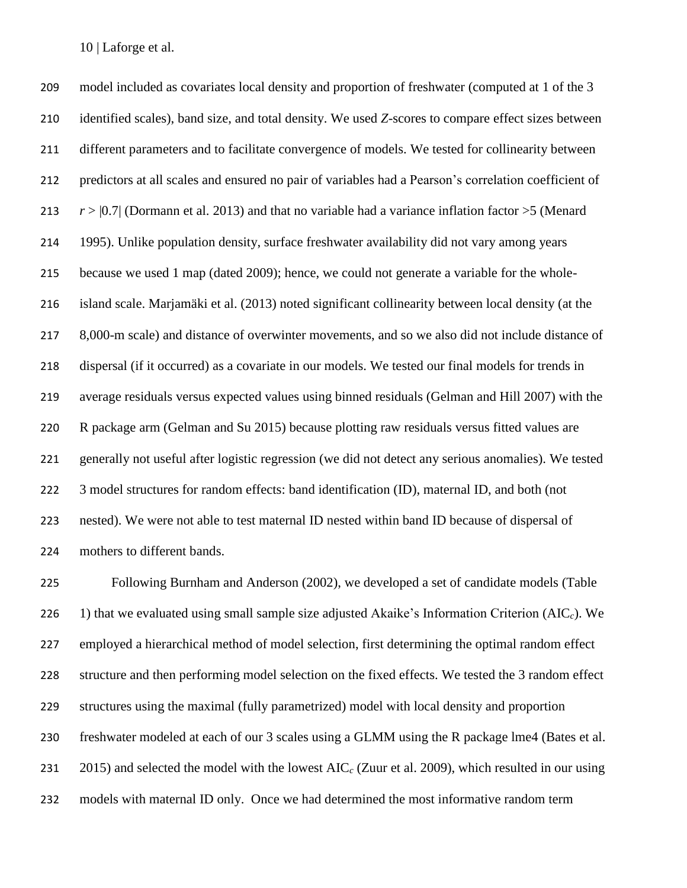model included as covariates local density and proportion of freshwater (computed at 1 of the 3 identified scales), band size, and total density. We used *Z*-scores to compare effect sizes between different parameters and to facilitate convergence of models. We tested for collinearity between predictors at all scales and ensured no pair of variables had a Pearson's correlation coefficient of *r* > |0.7| (Dormann et al. 2013) and that no variable had a variance inflation factor >5 (Menard 1995). Unlike population density, surface freshwater availability did not vary among years because we used 1 map (dated 2009); hence, we could not generate a variable for the whole- island scale. Marjamäki et al. (2013) noted significant collinearity between local density (at the 8,000-m scale) and distance of overwinter movements, and so we also did not include distance of dispersal (if it occurred) as a covariate in our models. We tested our final models for trends in average residuals versus expected values using binned residuals (Gelman and Hill 2007) with the R package arm (Gelman and Su 2015) because plotting raw residuals versus fitted values are generally not useful after logistic regression (we did not detect any serious anomalies). We tested 3 model structures for random effects: band identification (ID), maternal ID, and both (not nested). We were not able to test maternal ID nested within band ID because of dispersal of mothers to different bands.

 Following Burnham and Anderson (2002), we developed a set of candidate models (Table 226 1) that we evaluated using small sample size adjusted Akaike's Information Criterion  $(AIC<sub>c</sub>)$ . We employed a hierarchical method of model selection, first determining the optimal random effect structure and then performing model selection on the fixed effects. We tested the 3 random effect structures using the maximal (fully parametrized) model with local density and proportion freshwater modeled at each of our 3 scales using a GLMM using the R package lme4 (Bates et al. 2015) and selected the model with the lowest AIC*<sup>c</sup>* (Zuur et al. 2009), which resulted in our using models with maternal ID only. Once we had determined the most informative random term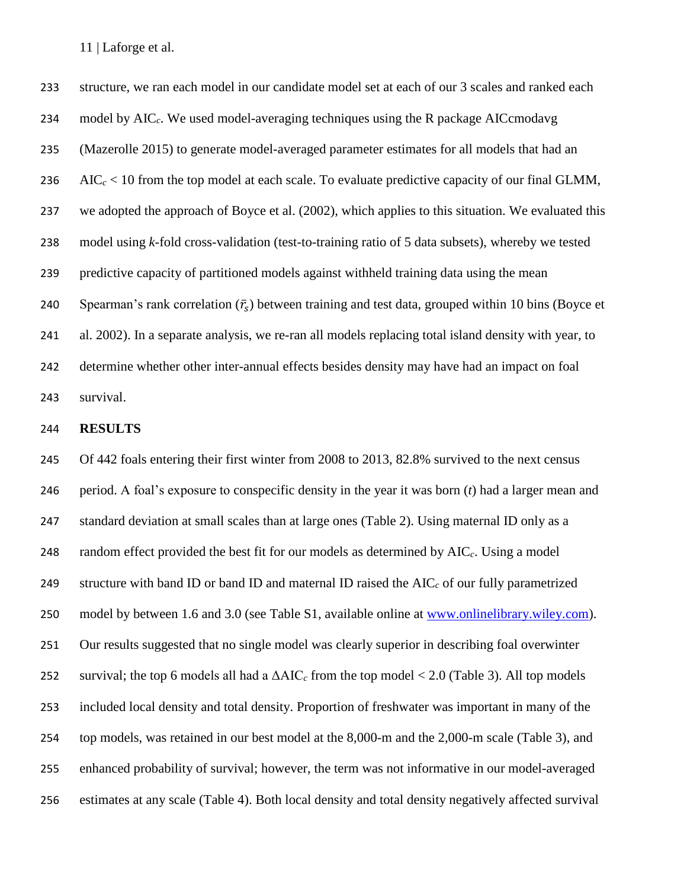structure, we ran each model in our candidate model set at each of our 3 scales and ranked each model by AIC*c*. We used model-averaging techniques using the R package AICcmodavg (Mazerolle 2015) to generate model-averaged parameter estimates for all models that had an AIC*<sup>c</sup>* < 10 from the top model at each scale. To evaluate predictive capacity of our final GLMM, we adopted the approach of Boyce et al. (2002), which applies to this situation. We evaluated this model using *k*-fold cross-validation (test-to-training ratio of 5 data subsets), whereby we tested predictive capacity of partitioned models against withheld training data using the mean 240 Spearman's rank correlation  $(\bar{r}_s)$  between training and test data, grouped within 10 bins (Boyce et al. 2002). In a separate analysis, we re-ran all models replacing total island density with year, to determine whether other inter-annual effects besides density may have had an impact on foal survival.

## **RESULTS**

 Of 442 foals entering their first winter from 2008 to 2013, 82.8% survived to the next census period. A foal's exposure to conspecific density in the year it was born (*t*) had a larger mean and standard deviation at small scales than at large ones (Table 2). Using maternal ID only as a random effect provided the best fit for our models as determined by AIC*c*. Using a model structure with band ID or band ID and maternal ID raised the AIC*<sup>c</sup>* of our fully parametrized model by between 1.6 and 3.0 (see Table S1, available online at [www.onlinelibrary.wiley.com\)](http://www.onlinelibrary.wiley.com/). Our results suggested that no single model was clearly superior in describing foal overwinter survival; the top 6 models all had a ΔAIC*<sup>c</sup>* from the top model < 2.0 (Table 3). All top models included local density and total density. Proportion of freshwater was important in many of the top models, was retained in our best model at the 8,000-m and the 2,000-m scale (Table 3), and enhanced probability of survival; however, the term was not informative in our model-averaged estimates at any scale (Table 4). Both local density and total density negatively affected survival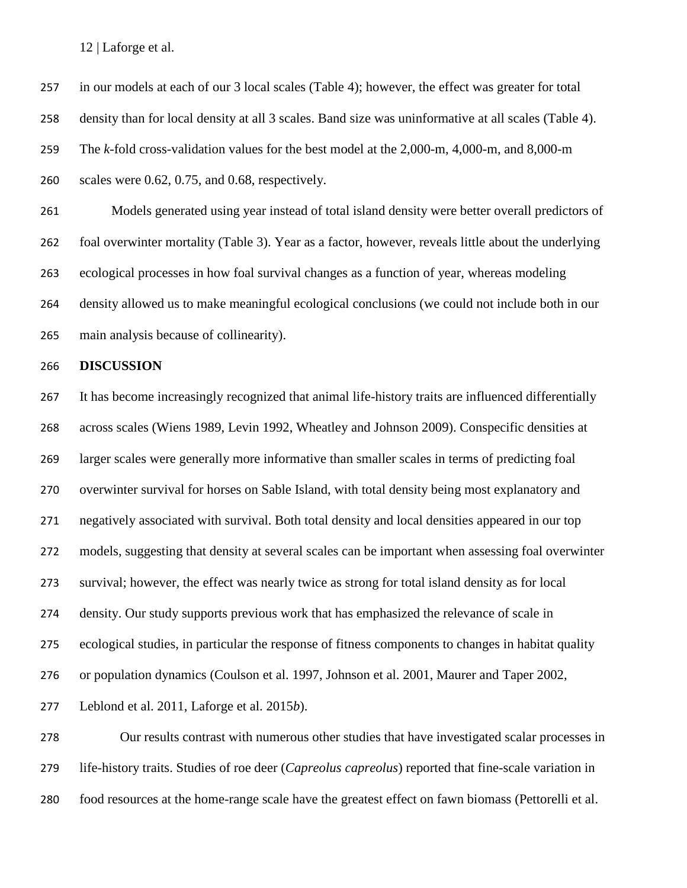in our models at each of our 3 local scales (Table 4); however, the effect was greater for total density than for local density at all 3 scales. Band size was uninformative at all scales (Table 4). The *k-*fold cross-validation values for the best model at the 2,000-m, 4,000-m, and 8,000-m scales were 0.62, 0.75, and 0.68, respectively.

 Models generated using year instead of total island density were better overall predictors of foal overwinter mortality (Table 3). Year as a factor, however, reveals little about the underlying ecological processes in how foal survival changes as a function of year, whereas modeling density allowed us to make meaningful ecological conclusions (we could not include both in our main analysis because of collinearity).

#### **DISCUSSION**

 It has become increasingly recognized that animal life-history traits are influenced differentially across scales (Wiens 1989, Levin 1992, Wheatley and Johnson 2009). Conspecific densities at larger scales were generally more informative than smaller scales in terms of predicting foal overwinter survival for horses on Sable Island, with total density being most explanatory and negatively associated with survival. Both total density and local densities appeared in our top models, suggesting that density at several scales can be important when assessing foal overwinter survival; however, the effect was nearly twice as strong for total island density as for local density. Our study supports previous work that has emphasized the relevance of scale in ecological studies, in particular the response of fitness components to changes in habitat quality or population dynamics (Coulson et al. 1997, Johnson et al. 2001, Maurer and Taper 2002, Leblond et al. 2011, Laforge et al. 2015*b*).

 Our results contrast with numerous other studies that have investigated scalar processes in life-history traits. Studies of roe deer (*Capreolus capreolus*) reported that fine-scale variation in food resources at the home-range scale have the greatest effect on fawn biomass (Pettorelli et al.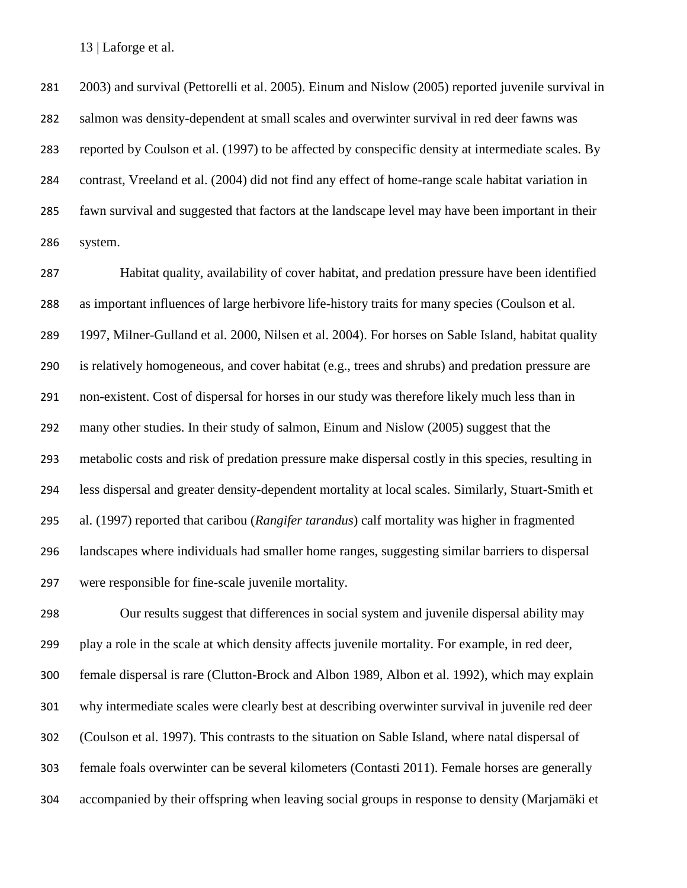2003) and survival (Pettorelli et al. 2005). Einum and Nislow (2005) reported juvenile survival in salmon was density-dependent at small scales and overwinter survival in red deer fawns was reported by Coulson et al. (1997) to be affected by conspecific density at intermediate scales. By contrast, Vreeland et al. (2004) did not find any effect of home-range scale habitat variation in fawn survival and suggested that factors at the landscape level may have been important in their system.

 Habitat quality, availability of cover habitat, and predation pressure have been identified as important influences of large herbivore life-history traits for many species (Coulson et al. 1997, Milner-Gulland et al. 2000, Nilsen et al. 2004). For horses on Sable Island, habitat quality is relatively homogeneous, and cover habitat (e.g., trees and shrubs) and predation pressure are non-existent. Cost of dispersal for horses in our study was therefore likely much less than in many other studies. In their study of salmon, Einum and Nislow (2005) suggest that the metabolic costs and risk of predation pressure make dispersal costly in this species, resulting in less dispersal and greater density-dependent mortality at local scales. Similarly, Stuart-Smith et al. (1997) reported that caribou (*Rangifer tarandus*) calf mortality was higher in fragmented landscapes where individuals had smaller home ranges, suggesting similar barriers to dispersal were responsible for fine-scale juvenile mortality.

 Our results suggest that differences in social system and juvenile dispersal ability may play a role in the scale at which density affects juvenile mortality. For example, in red deer, female dispersal is rare (Clutton-Brock and Albon 1989, Albon et al. 1992), which may explain why intermediate scales were clearly best at describing overwinter survival in juvenile red deer (Coulson et al. 1997). This contrasts to the situation on Sable Island, where natal dispersal of female foals overwinter can be several kilometers (Contasti 2011). Female horses are generally accompanied by their offspring when leaving social groups in response to density (Marjamäki et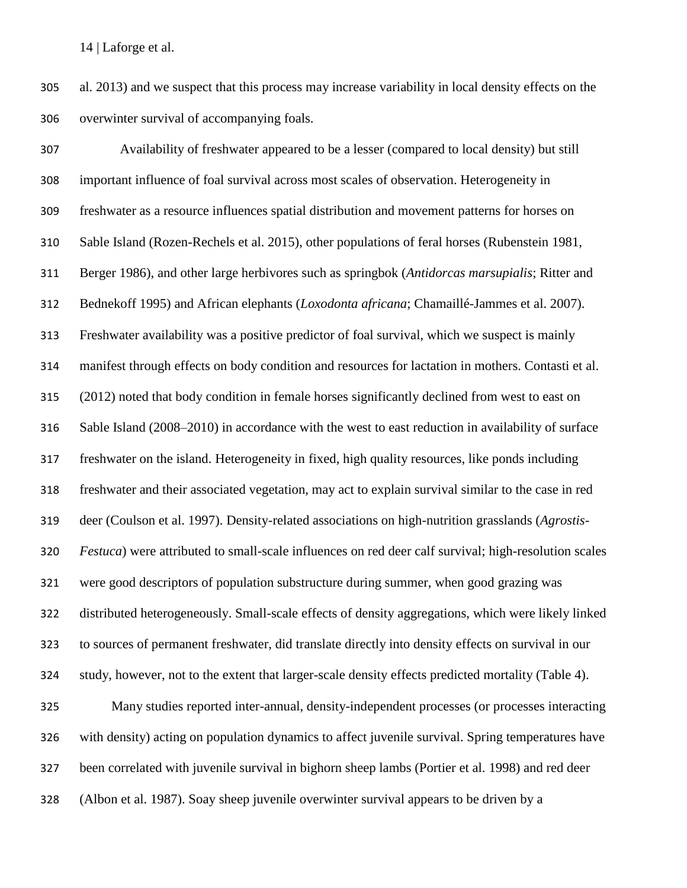al. 2013) and we suspect that this process may increase variability in local density effects on the overwinter survival of accompanying foals.

 Availability of freshwater appeared to be a lesser (compared to local density) but still important influence of foal survival across most scales of observation. Heterogeneity in freshwater as a resource influences spatial distribution and movement patterns for horses on Sable Island (Rozen-Rechels et al. 2015), other populations of feral horses (Rubenstein 1981, Berger 1986), and other large herbivores such as springbok (*Antidorcas marsupialis*; Ritter and Bednekoff 1995) and African elephants (*Loxodonta africana*; Chamaillé-Jammes et al. 2007). Freshwater availability was a positive predictor of foal survival, which we suspect is mainly manifest through effects on body condition and resources for lactation in mothers. Contasti et al. (2012) noted that body condition in female horses significantly declined from west to east on Sable Island (2008–2010) in accordance with the west to east reduction in availability of surface freshwater on the island. Heterogeneity in fixed, high quality resources, like ponds including freshwater and their associated vegetation, may act to explain survival similar to the case in red deer (Coulson et al. 1997). Density-related associations on high-nutrition grasslands (*Agrostis- Festuca*) were attributed to small-scale influences on red deer calf survival; high-resolution scales were good descriptors of population substructure during summer, when good grazing was distributed heterogeneously. Small-scale effects of density aggregations, which were likely linked to sources of permanent freshwater, did translate directly into density effects on survival in our study, however, not to the extent that larger-scale density effects predicted mortality (Table 4). Many studies reported inter-annual, density-independent processes (or processes interacting with density) acting on population dynamics to affect juvenile survival. Spring temperatures have

been correlated with juvenile survival in bighorn sheep lambs (Portier et al. 1998) and red deer

(Albon et al. 1987). Soay sheep juvenile overwinter survival appears to be driven by a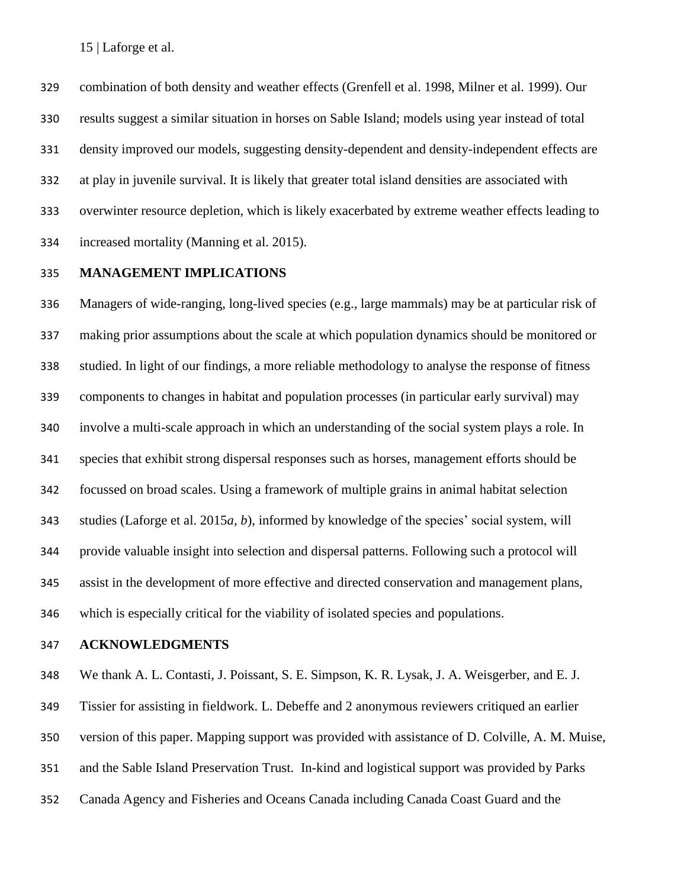combination of both density and weather effects (Grenfell et al. 1998, Milner et al. 1999). Our results suggest a similar situation in horses on Sable Island; models using year instead of total density improved our models, suggesting density-dependent and density-independent effects are at play in juvenile survival. It is likely that greater total island densities are associated with overwinter resource depletion, which is likely exacerbated by extreme weather effects leading to increased mortality (Manning et al. 2015).

## **MANAGEMENT IMPLICATIONS**

 Managers of wide-ranging, long-lived species (e.g., large mammals) may be at particular risk of making prior assumptions about the scale at which population dynamics should be monitored or studied. In light of our findings, a more reliable methodology to analyse the response of fitness components to changes in habitat and population processes (in particular early survival) may involve a multi-scale approach in which an understanding of the social system plays a role. In species that exhibit strong dispersal responses such as horses, management efforts should be focussed on broad scales. Using a framework of multiple grains in animal habitat selection studies (Laforge et al. 2015*a*, *b*), informed by knowledge of the species' social system, will provide valuable insight into selection and dispersal patterns. Following such a protocol will assist in the development of more effective and directed conservation and management plans, which is especially critical for the viability of isolated species and populations.

#### **ACKNOWLEDGMENTS**

 We thank A. L. Contasti, J. Poissant, S. E. Simpson, K. R. Lysak, J. A. Weisgerber, and E. J. Tissier for assisting in fieldwork. L. Debeffe and 2 anonymous reviewers critiqued an earlier version of this paper. Mapping support was provided with assistance of D. Colville, A. M. Muise, and the Sable Island Preservation Trust. In-kind and logistical support was provided by Parks Canada Agency and Fisheries and Oceans Canada including Canada Coast Guard and the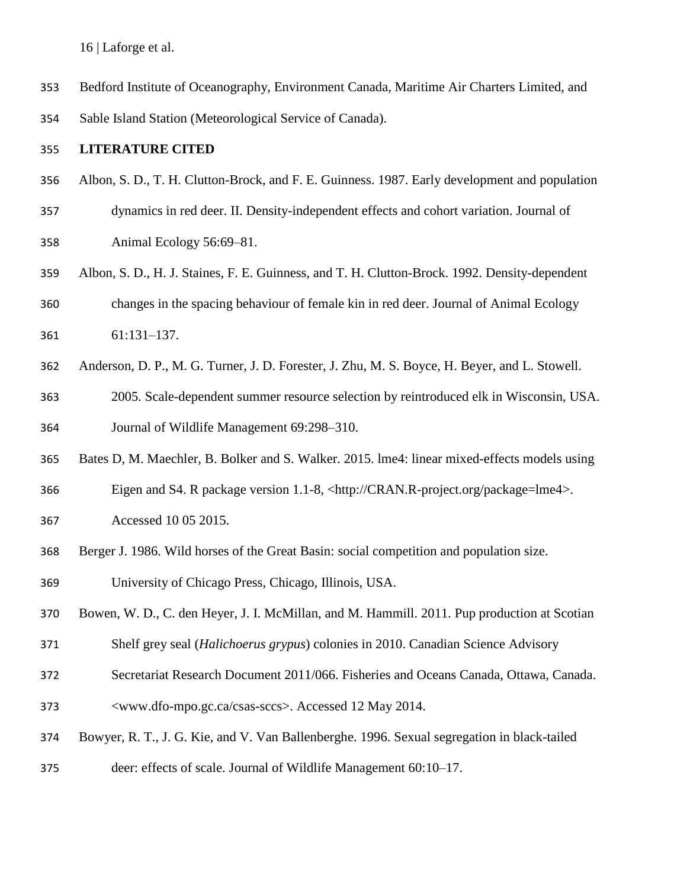- Bedford Institute of Oceanography, Environment Canada, Maritime Air Charters Limited, and
- Sable Island Station (Meteorological Service of Canada).

## **LITERATURE CITED**

- Albon, S. D., T. H. Clutton-Brock, and F. E. Guinness. 1987. Early development and population
- dynamics in red deer. II. Density-independent effects and cohort variation. Journal of Animal Ecology 56:69–81.
- Albon, S. D., H. J. Staines, F. E. Guinness, and T. H. Clutton-Brock. 1992. Density-dependent changes in the spacing behaviour of female kin in red deer. Journal of Animal Ecology 61:131–137.
- Anderson, D. P., M. G. Turner, J. D. Forester, J. Zhu, M. S. Boyce, H. Beyer, and L. Stowell.
- 2005. Scale-dependent summer resource selection by reintroduced elk in Wisconsin, USA. Journal of Wildlife Management 69:298–310.
- Bates D, M. Maechler, B. Bolker and S. Walker. 2015. lme4: linear mixed-effects models using
- Eigen and S4. R package version 1.1-8, <http://CRAN.R-project.org/package=lme4>.
- Accessed 10 05 2015.
- Berger J. 1986. Wild horses of the Great Basin: social competition and population size.
- University of Chicago Press, Chicago, Illinois, USA.
- Bowen, W. D., C. den Heyer, J. I. McMillan, and M. Hammill. 2011. Pup production at Scotian
- Shelf grey seal (*Halichoerus grypus*) colonies in 2010. Canadian Science Advisory
- Secretariat Research Document 2011/066. Fisheries and Oceans Canada, Ottawa, Canada.
- <www.dfo-mpo.gc.ca/csas-sccs>. Accessed 12 May 2014.
- Bowyer, R. T., J. G. Kie, and V. Van Ballenberghe. 1996. Sexual segregation in black-tailed
- deer: effects of scale. Journal of Wildlife Management 60:10–17.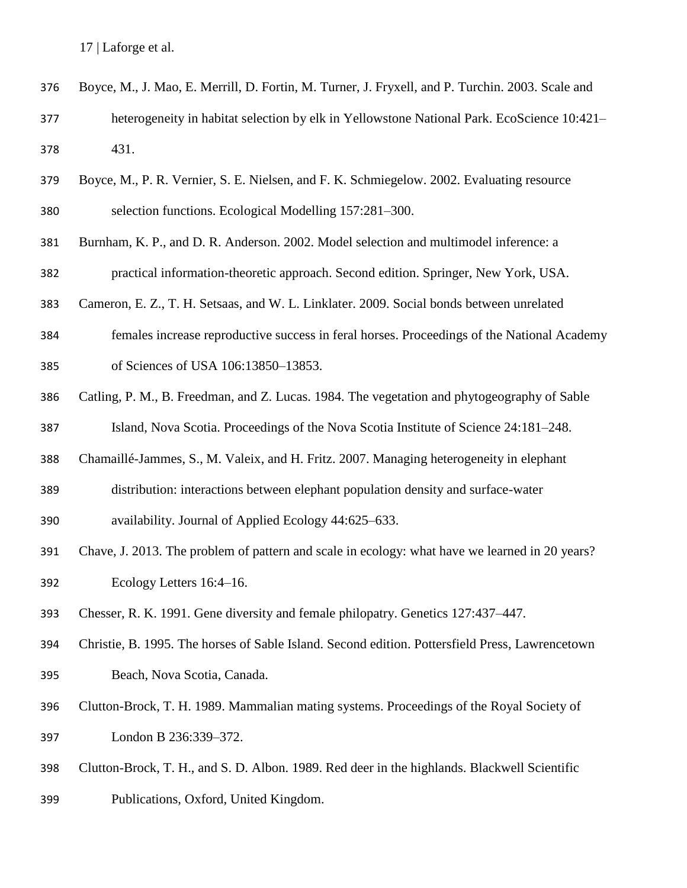- Boyce, M., J. Mao, E. Merrill, D. Fortin, M. Turner, J. Fryxell, and P. Turchin. 2003. Scale and heterogeneity in habitat selection by elk in Yellowstone National Park. EcoScience 10:421– 431.
- Boyce, M., P. R. Vernier, S. E. Nielsen, and F. K. Schmiegelow. 2002. Evaluating resource selection functions. Ecological Modelling 157:281–300.
- Burnham, K. P., and D. R. Anderson. 2002. Model selection and multimodel inference: a
- practical information-theoretic approach. Second edition. Springer, New York, USA.
- Cameron, E. Z., T. H. Setsaas, and W. L. Linklater. 2009. Social bonds between unrelated
- females increase reproductive success in feral horses. Proceedings of the National Academy
- of Sciences of USA 106:13850–13853.
- Catling, P. M., B. Freedman, and Z. Lucas. 1984. The vegetation and phytogeography of Sable Island, Nova Scotia. Proceedings of the Nova Scotia Institute of Science 24:181–248.
- Chamaillé-Jammes, S., M. Valeix, and H. Fritz. 2007. Managing heterogeneity in elephant
- distribution: interactions between elephant population density and surface-water
- availability. Journal of Applied Ecology 44:625–633.
- Chave, J. 2013. The problem of pattern and scale in ecology: what have we learned in 20 years? Ecology Letters 16:4–16.
- Chesser, R. K. 1991. Gene diversity and female philopatry. Genetics 127:437–447.
- Christie, B. 1995. The horses of Sable Island. Second edition. Pottersfield Press, Lawrencetown Beach, Nova Scotia, Canada.
- Clutton-Brock, T. H. 1989. Mammalian mating systems. Proceedings of the Royal Society of London B 236:339–372.
- Clutton-Brock, T. H., and S. D. Albon. 1989. Red deer in the highlands. Blackwell Scientific
- Publications, Oxford, United Kingdom.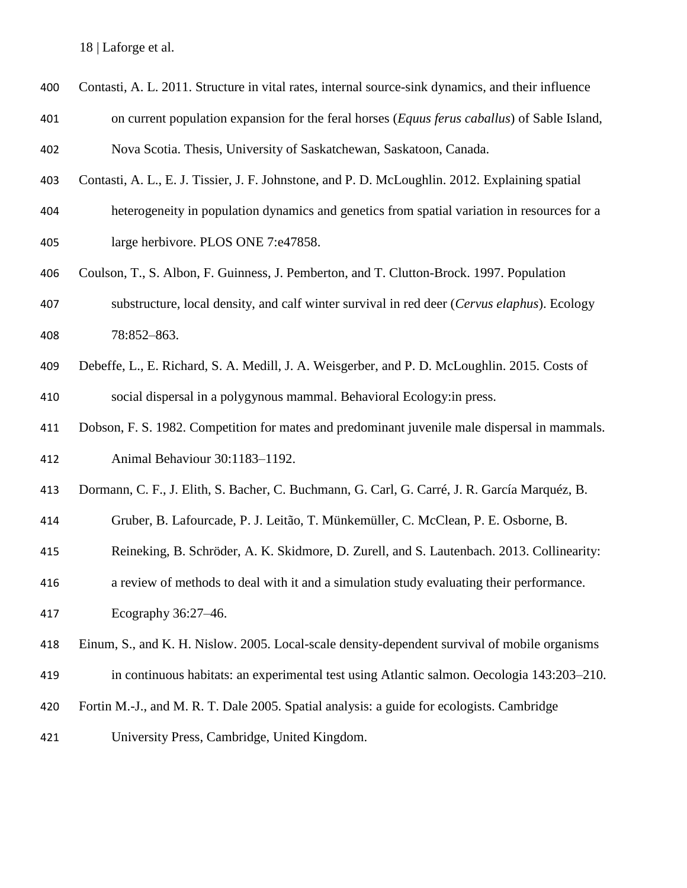- Contasti, A. L. 2011. Structure in vital rates, internal source-sink dynamics, and their influence
- on current population expansion for the feral horses (*Equus ferus caballus*) of Sable Island, Nova Scotia. Thesis, University of Saskatchewan, Saskatoon, Canada.
- Contasti, A. L., E. J. Tissier, J. F. Johnstone, and P. D. McLoughlin. 2012. Explaining spatial
- heterogeneity in population dynamics and genetics from spatial variation in resources for a
- large herbivore. PLOS ONE 7:e47858.
- Coulson, T., S. Albon, F. Guinness, J. Pemberton, and T. Clutton-Brock. 1997. Population substructure, local density, and calf winter survival in red deer (*Cervus elaphus*). Ecology
- 78:852–863.
- Debeffe, L., E. Richard, S. A. Medill, J. A. Weisgerber, and P. D. McLoughlin. 2015. Costs of social dispersal in a polygynous mammal. Behavioral Ecology:in press.
- Dobson, F. S. 1982. Competition for mates and predominant juvenile male dispersal in mammals. Animal Behaviour 30:1183–1192.
- Dormann, C. F., J. Elith, S. Bacher, C. Buchmann, G. Carl, G. Carré, J. R. García Marquéz, B.
- Gruber, B. Lafourcade, P. J. Leitão, T. Münkemüller, C. McClean, P. E. Osborne, B.
- Reineking, B. Schröder, A. K. Skidmore, D. Zurell, and S. Lautenbach. 2013. Collinearity:
- a review of methods to deal with it and a simulation study evaluating their performance.
- Ecography 36:27–46.
- Einum, S., and K. H. Nislow. 2005. Local-scale density-dependent survival of mobile organisms
- in continuous habitats: an experimental test using Atlantic salmon. Oecologia 143:203–210.
- Fortin M.-J., and M. R. T. Dale 2005. Spatial analysis: a guide for ecologists. Cambridge
- University Press, Cambridge, United Kingdom.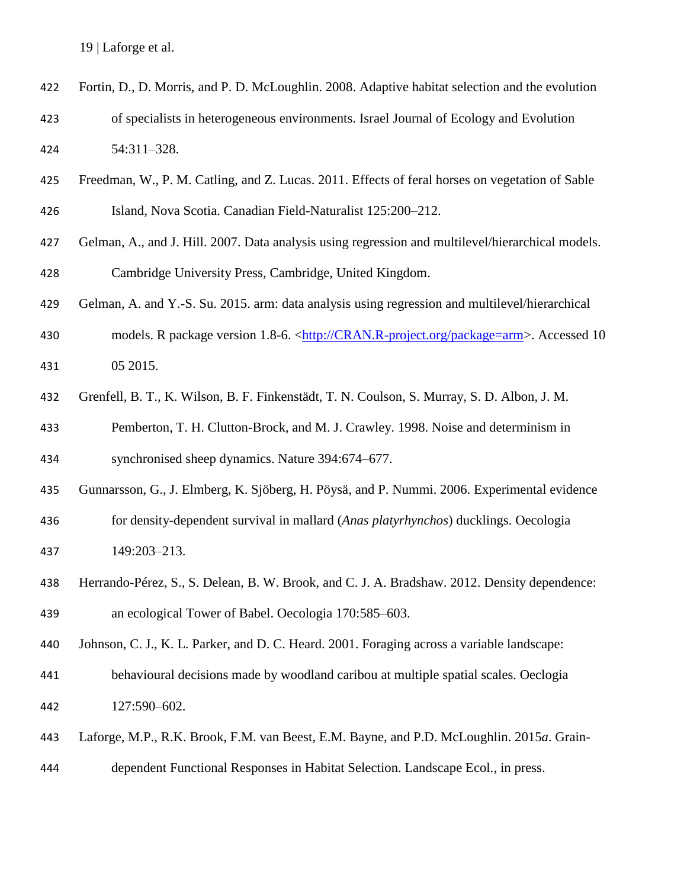- Fortin, D., D. Morris, and P. D. McLoughlin. 2008. Adaptive habitat selection and the evolution of specialists in heterogeneous environments. Israel Journal of Ecology and Evolution 54:311–328.
- Freedman, W., P. M. Catling, and Z. Lucas. 2011. Effects of feral horses on vegetation of Sable
- Island, Nova Scotia. Canadian Field-Naturalist 125:200–212.
- Gelman, A., and J. Hill. 2007. Data analysis using regression and multilevel/hierarchical models. Cambridge University Press, Cambridge, United Kingdom.
- Gelman, A. and Y.-S. Su. 2015. arm: data analysis using regression and multilevel/hierarchical
- 430 models. R package version 1.8-6. [<http://CRAN.R-project.org/package=arm>](http://cran.r-project.org/package=arm). Accessed 10 05 2015.
- Grenfell, B. T., K. Wilson, B. F. Finkenstädt, T. N. Coulson, S. Murray, S. D. Albon, J. M.
- Pemberton, T. H. Clutton-Brock, and M. J. Crawley. 1998. Noise and determinism in synchronised sheep dynamics. Nature 394:674–677.
- Gunnarsson, G., J. Elmberg, K. Sjöberg, H. Pöysä, and P. Nummi. 2006. Experimental evidence
- for density-dependent survival in mallard (*Anas platyrhynchos*) ducklings. Oecologia 149:203–213.
- Herrando-Pérez, S., S. Delean, B. W. Brook, and C. J. A. Bradshaw. 2012. Density dependence: an ecological Tower of Babel. Oecologia 170:585–603.
- Johnson, C. J., K. L. Parker, and D. C. Heard. 2001. Foraging across a variable landscape:
- behavioural decisions made by woodland caribou at multiple spatial scales. Oeclogia 127:590–602.
- Laforge, M.P., R.K. Brook, F.M. van Beest, E.M. Bayne, and P.D. McLoughlin. 2015*a*. Grain-
- dependent Functional Responses in Habitat Selection. Landscape Ecol., in press.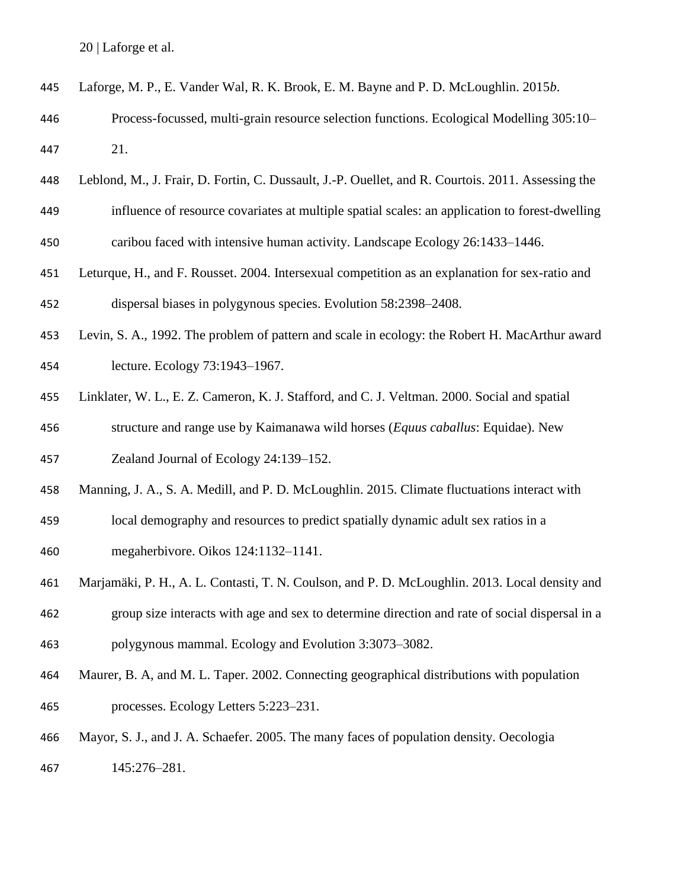| 445 | Laforge, M. P., E. Vander Wal, R. K. Brook, E. M. Bayne and P. D. McLoughlin. 2015b.               |
|-----|----------------------------------------------------------------------------------------------------|
| 446 | Process-focussed, multi-grain resource selection functions. Ecological Modelling 305:10-           |
| 447 | 21.                                                                                                |
| 448 | Leblond, M., J. Frair, D. Fortin, C. Dussault, J.-P. Ouellet, and R. Courtois. 2011. Assessing the |
| 449 | influence of resource covariates at multiple spatial scales: an application to forest-dwelling     |
| 450 | caribou faced with intensive human activity. Landscape Ecology 26:1433-1446.                       |
| 451 | Leturque, H., and F. Rousset. 2004. Intersexual competition as an explanation for sex-ratio and    |
| 452 | dispersal biases in polygynous species. Evolution 58:2398-2408.                                    |
| 453 | Levin, S. A., 1992. The problem of pattern and scale in ecology: the Robert H. MacArthur award     |
| 454 | lecture. Ecology 73:1943-1967.                                                                     |
| 455 | Linklater, W. L., E. Z. Cameron, K. J. Stafford, and C. J. Veltman. 2000. Social and spatial       |
| 456 | structure and range use by Kaimanawa wild horses (Equus caballus: Equidae). New                    |
| 457 | Zealand Journal of Ecology 24:139-152.                                                             |
| 458 | Manning, J. A., S. A. Medill, and P. D. McLoughlin. 2015. Climate fluctuations interact with       |
| 459 | local demography and resources to predict spatially dynamic adult sex ratios in a                  |
| 460 | megaherbivore. Oikos 124:1132-1141.                                                                |
| 461 | Marjamäki, P. H., A. L. Contasti, T. N. Coulson, and P. D. McLoughlin. 2013. Local density and     |
| 462 | group size interacts with age and sex to determine direction and rate of social dispersal in a     |
| 463 | polygynous mammal. Ecology and Evolution 3:3073-3082.                                              |
| 464 | Maurer, B. A, and M. L. Taper. 2002. Connecting geographical distributions with population         |
| 465 | processes. Ecology Letters 5:223-231.                                                              |
| 466 | Mayor, S. J., and J. A. Schaefer. 2005. The many faces of population density. Oecologia            |
| 467 | 145:276-281.                                                                                       |
|     |                                                                                                    |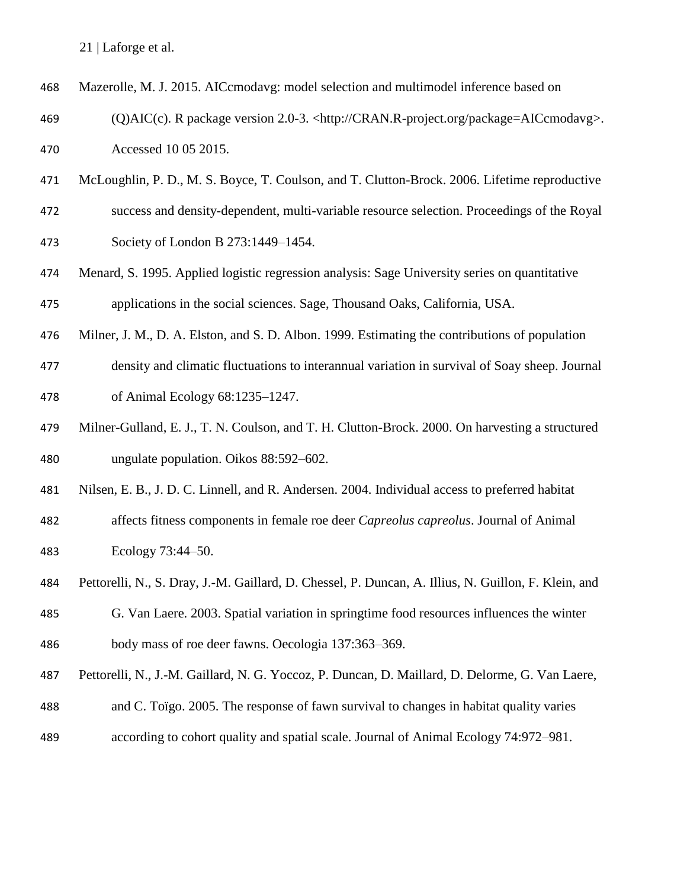| 468 |  | Mazerolle, M. J. 2015. AICcmodavg: model selection and multimodel inference based on |  |  |
|-----|--|--------------------------------------------------------------------------------------|--|--|
|-----|--|--------------------------------------------------------------------------------------|--|--|

- (Q)AIC(c). R package version 2.0-3. <http://CRAN.R-project.org/package=AICcmodavg>. Accessed 10 05 2015.
- McLoughlin, P. D., M. S. Boyce, T. Coulson, and T. Clutton-Brock. 2006. Lifetime reproductive
- success and density-dependent, multi-variable resource selection. Proceedings of the Royal Society of London B 273:1449–1454.
- Menard, S. 1995. Applied logistic regression analysis: Sage University series on quantitative applications in the social sciences. Sage, Thousand Oaks, California, USA.
- 
- Milner, J. M., D. A. Elston, and S. D. Albon. 1999. Estimating the contributions of population
- density and climatic fluctuations to interannual variation in survival of Soay sheep. Journal of Animal Ecology 68:1235–1247.
- Milner-Gulland, E. J., T. N. Coulson, and T. H. Clutton-Brock. 2000. On harvesting a structured ungulate population. Oikos 88:592–602.
- Nilsen, E. B., J. D. C. Linnell, and R. Andersen. 2004. Individual access to preferred habitat
- affects fitness components in female roe deer *Capreolus capreolus*. Journal of Animal Ecology 73:44–50.
- Pettorelli, N., S. Dray, J.-M. Gaillard, D. Chessel, P. Duncan, A. Illius, N. Guillon, F. Klein, and
- G. Van Laere. 2003. Spatial variation in springtime food resources influences the winter body mass of roe deer fawns. Oecologia 137:363–369.
- Pettorelli, N., J.-M. Gaillard, N. G. Yoccoz, P. Duncan, D. Maillard, D. Delorme, G. Van Laere,
- and C. Toïgo. 2005. The response of fawn survival to changes in habitat quality varies
- according to cohort quality and spatial scale. Journal of Animal Ecology 74:972–981.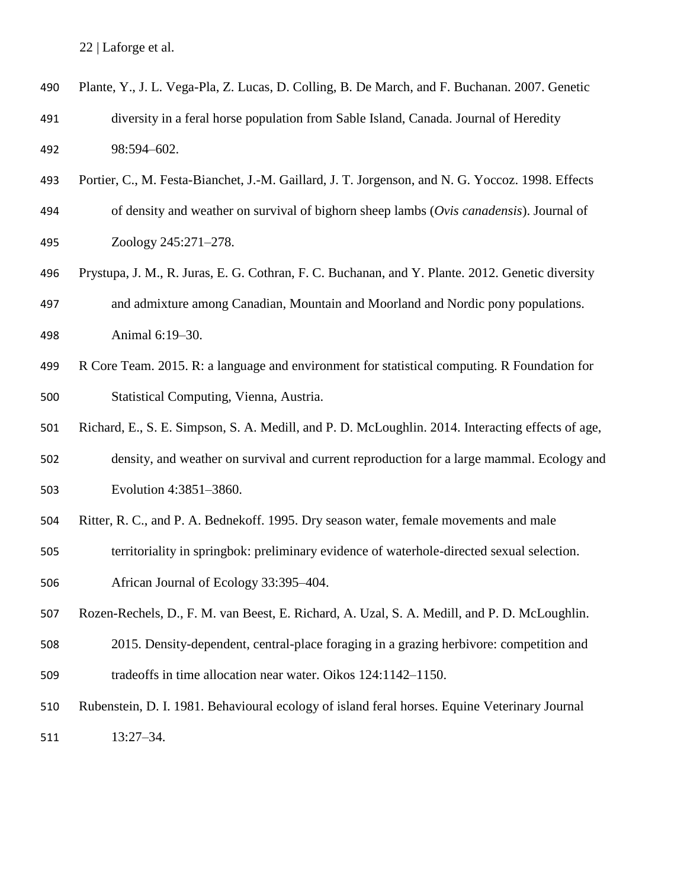| 490 | Plante, Y., J. L. Vega-Pla, Z. Lucas, D. Colling, B. De March, and F. Buchanan. 2007. Genetic     |
|-----|---------------------------------------------------------------------------------------------------|
| 491 | diversity in a feral horse population from Sable Island, Canada. Journal of Heredity              |
| 492 | 98:594-602.                                                                                       |
| 493 | Portier, C., M. Festa-Bianchet, J.-M. Gaillard, J. T. Jorgenson, and N. G. Yoccoz. 1998. Effects  |
| 494 | of density and weather on survival of bighorn sheep lambs (Ovis canadensis). Journal of           |
| 495 | Zoology 245:271-278.                                                                              |
| 496 | Prystupa, J. M., R. Juras, E. G. Cothran, F. C. Buchanan, and Y. Plante. 2012. Genetic diversity  |
| 497 | and admixture among Canadian, Mountain and Moorland and Nordic pony populations.                  |
| 498 | Animal 6:19-30.                                                                                   |
| 499 | R Core Team. 2015. R: a language and environment for statistical computing. R Foundation for      |
| 500 | Statistical Computing, Vienna, Austria.                                                           |
| 501 | Richard, E., S. E. Simpson, S. A. Medill, and P. D. McLoughlin. 2014. Interacting effects of age, |
| 502 | density, and weather on survival and current reproduction for a large mammal. Ecology and         |
| 503 | Evolution 4:3851-3860.                                                                            |
| 504 | Ritter, R. C., and P. A. Bednekoff. 1995. Dry season water, female movements and male             |
| 505 | territoriality in springbok: preliminary evidence of waterhole-directed sexual selection.         |
| 506 | African Journal of Ecology 33:395-404.                                                            |
| 507 | Rozen-Rechels, D., F. M. van Beest, E. Richard, A. Uzal, S. A. Medill, and P. D. McLoughlin.      |
| 508 | 2015. Density-dependent, central-place foraging in a grazing herbivore: competition and           |
| 509 | tradeoffs in time allocation near water. Oikos 124:1142–1150.                                     |
| 510 | Rubenstein, D. I. 1981. Behavioural ecology of island feral horses. Equine Veterinary Journal     |
| 511 | $13:27 - 34.$                                                                                     |
|     |                                                                                                   |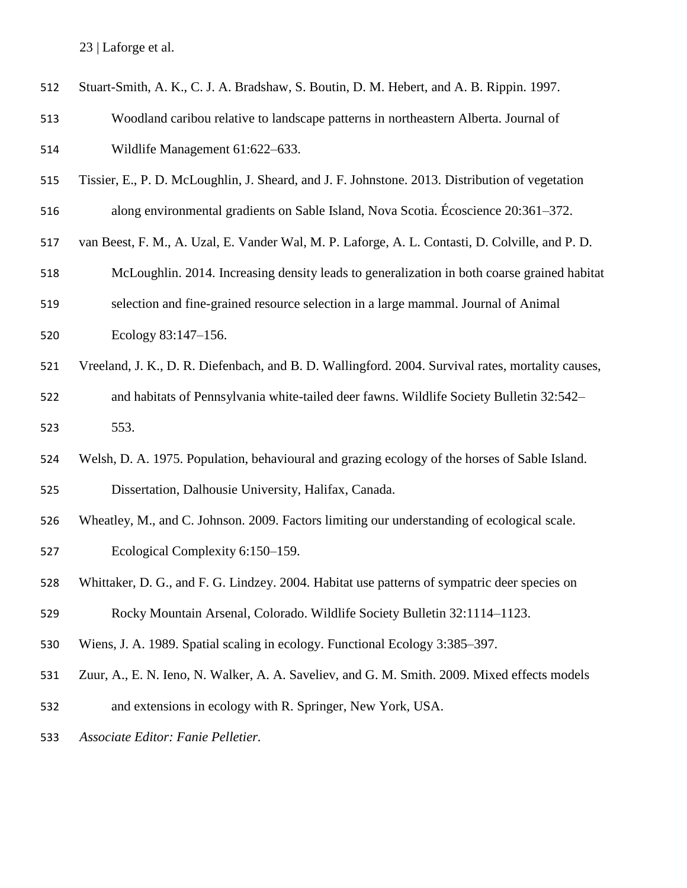| 512 | Stuart-Smith, A. K., C. J. A. Bradshaw, S. Boutin, D. M. Hebert, and A. B. Rippin. 1997.          |
|-----|---------------------------------------------------------------------------------------------------|
| 513 | Woodland caribou relative to landscape patterns in northeastern Alberta. Journal of               |
| 514 | Wildlife Management 61:622-633.                                                                   |
| 515 | Tissier, E., P. D. McLoughlin, J. Sheard, and J. F. Johnstone. 2013. Distribution of vegetation   |
| 516 | along environmental gradients on Sable Island, Nova Scotia. Écoscience 20:361-372.                |
| 517 | van Beest, F. M., A. Uzal, E. Vander Wal, M. P. Laforge, A. L. Contasti, D. Colville, and P. D.   |
| 518 | McLoughlin. 2014. Increasing density leads to generalization in both coarse grained habitat       |
| 519 | selection and fine-grained resource selection in a large mammal. Journal of Animal                |
| 520 | Ecology 83:147-156.                                                                               |
| 521 | Vreeland, J. K., D. R. Diefenbach, and B. D. Wallingford. 2004. Survival rates, mortality causes, |
| 522 | and habitats of Pennsylvania white-tailed deer fawns. Wildlife Society Bulletin 32:542-           |
| 523 | 553.                                                                                              |
| 524 | Welsh, D. A. 1975. Population, behavioural and grazing ecology of the horses of Sable Island.     |
| 525 | Dissertation, Dalhousie University, Halifax, Canada.                                              |
| 526 | Wheatley, M., and C. Johnson. 2009. Factors limiting our understanding of ecological scale.       |
| 527 | Ecological Complexity 6:150–159.                                                                  |
| 528 | Whittaker, D. G., and F. G. Lindzey. 2004. Habitat use patterns of sympatric deer species on      |
| 529 | Rocky Mountain Arsenal, Colorado. Wildlife Society Bulletin 32:1114-1123.                         |
| 530 | Wiens, J. A. 1989. Spatial scaling in ecology. Functional Ecology 3:385–397.                      |
| 531 | Zuur, A., E. N. Ieno, N. Walker, A. A. Saveliev, and G. M. Smith. 2009. Mixed effects models      |
| 532 | and extensions in ecology with R. Springer, New York, USA.                                        |
| 533 | Associate Editor: Fanie Pelletier.                                                                |
|     |                                                                                                   |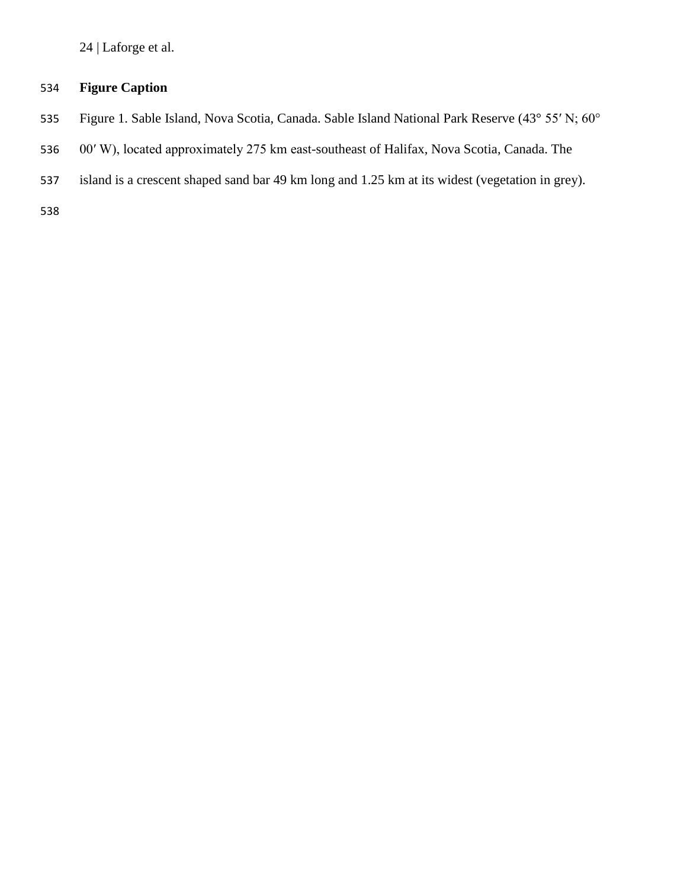# **Figure Caption**

- Figure 1. Sable Island, Nova Scotia, Canada. Sable Island National Park Reserve (43° 55′ N; 60°
- 00′ W), located approximately 275 km east-southeast of Halifax, Nova Scotia, Canada. The
- island is a crescent shaped sand bar 49 km long and 1.25 km at its widest (vegetation in grey).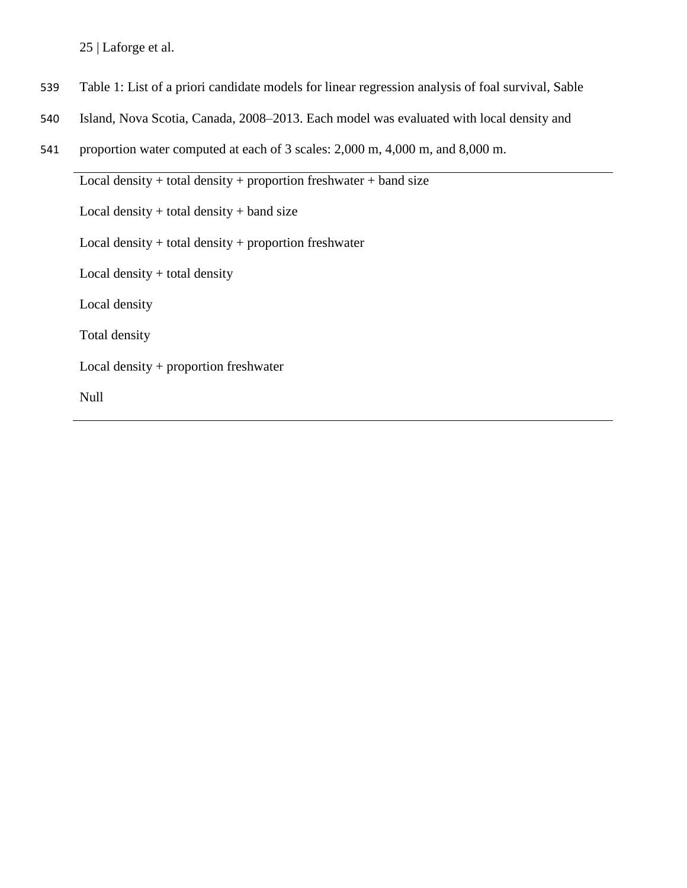- 539 Table 1: List of a priori candidate models for linear regression analysis of foal survival, Sable
- 540 Island, Nova Scotia, Canada, 2008–2013. Each model was evaluated with local density and
- 541 proportion water computed at each of 3 scales: 2,000 m, 4,000 m, and 8,000 m.

Local density + total density + proportion freshwater + band size Local density  $+$  total density  $+$  band size Local density + total density + proportion freshwater Local density + total density Local density Total density Local density + proportion freshwater Null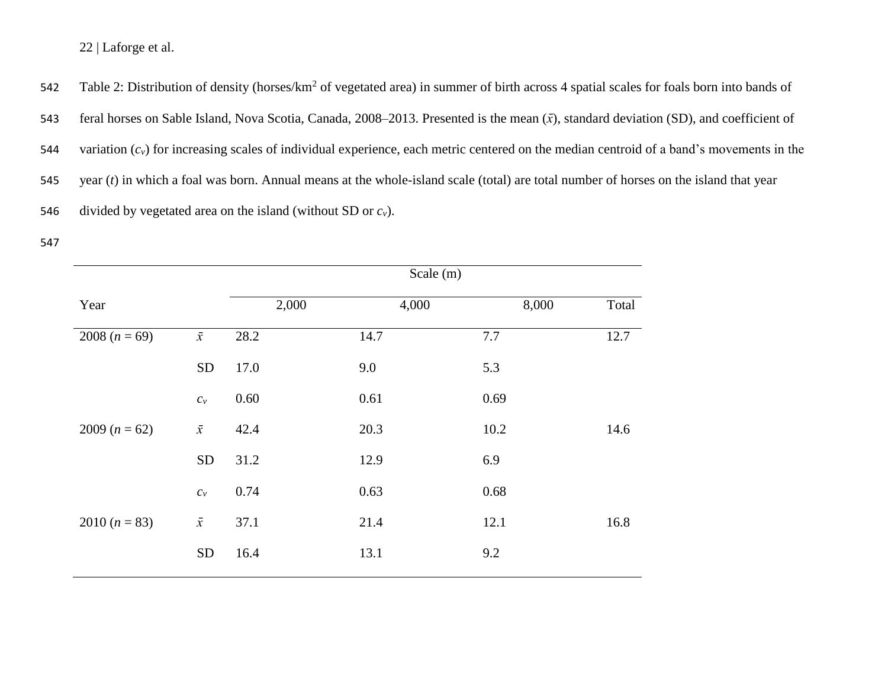542 Table 2: Distribution of density (horses/km<sup>2</sup> of vegetated area) in summer of birth across 4 spatial scales for foals born into bands of

543 feral horses on Sable Island, Nova Scotia, Canada, 2008–2013. Presented is the mean (*x̄*), standard deviation (SD), and coefficient of

544 variation  $(c_v)$  for increasing scales of individual experience, each metric centered on the median centroid of a band's movements in the

545 year (*t*) in which a foal was born. Annual means at the whole-island scale (total) are total number of horses on the island that year

546 divided by vegetated area on the island (without SD or  $c_v$ ).

<sup>547</sup>

|                 |                           |          | Scale $(m)$ |       |       |
|-----------------|---------------------------|----------|-------------|-------|-------|
| Year            |                           | 2,000    | 4,000       | 8,000 | Total |
| 2008 $(n = 69)$ | $\bar{x}$                 | 28.2     | 14.7        | 7.7   | 12.7  |
|                 | <b>SD</b>                 | 17.0     | 9.0         | 5.3   |       |
|                 | $c_v$                     | $0.60\,$ | 0.61        | 0.69  |       |
| 2009 $(n = 62)$ | $\bar{x}$                 | 42.4     | 20.3        | 10.2  | 14.6  |
|                 | <b>SD</b>                 | 31.2     | 12.9        | 6.9   |       |
|                 | $\mathcal{C}_\mathcal{V}$ | 0.74     | 0.63        | 0.68  |       |
| 2010 $(n = 83)$ | $\bar{x}$                 | 37.1     | 21.4        | 12.1  | 16.8  |
|                 | <b>SD</b>                 | 16.4     | 13.1        | 9.2   |       |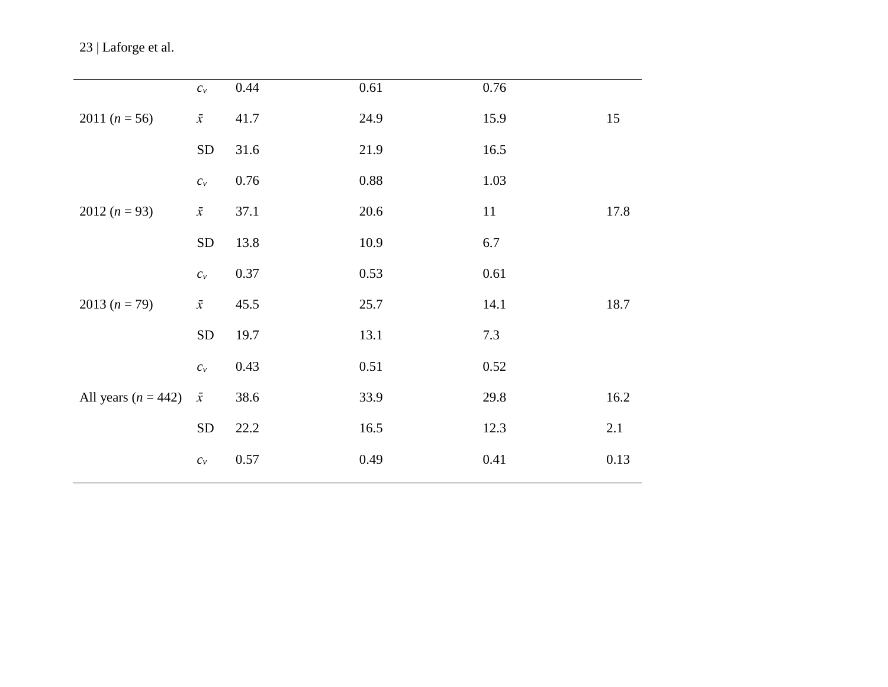|                       | $\mathcal{C}_\mathcal{V}$ | 0.44 | 0.61     | 0.76 |      |
|-----------------------|---------------------------|------|----------|------|------|
| 2011 $(n = 56)$       | $\bar{x}$                 | 41.7 | 24.9     | 15.9 | 15   |
|                       | ${\rm SD}$                | 31.6 | 21.9     | 16.5 |      |
|                       | $\mathcal{C}_\mathcal{V}$ | 0.76 | $0.88\,$ | 1.03 |      |
| 2012 $(n = 93)$       | $\bar{x}$                 | 37.1 | 20.6     | 11   | 17.8 |
|                       | ${\rm SD}$                | 13.8 | 10.9     | 6.7  |      |
|                       | $\mathcal{C}_\mathcal{V}$ | 0.37 | 0.53     | 0.61 |      |
| 2013 $(n = 79)$       | $\bar{x}$                 | 45.5 | 25.7     | 14.1 | 18.7 |
|                       | ${\rm SD}$                | 19.7 | 13.1     | 7.3  |      |
|                       | $\mathcal{C}_\mathcal{V}$ | 0.43 | 0.51     | 0.52 |      |
| All years $(n = 442)$ | $\bar{x}$                 | 38.6 | 33.9     | 29.8 | 16.2 |
|                       | ${\rm SD}$                | 22.2 | 16.5     | 12.3 | 2.1  |
|                       | $\mathcal{C}_\mathcal{V}$ | 0.57 | 0.49     | 0.41 | 0.13 |
|                       |                           |      |          |      |      |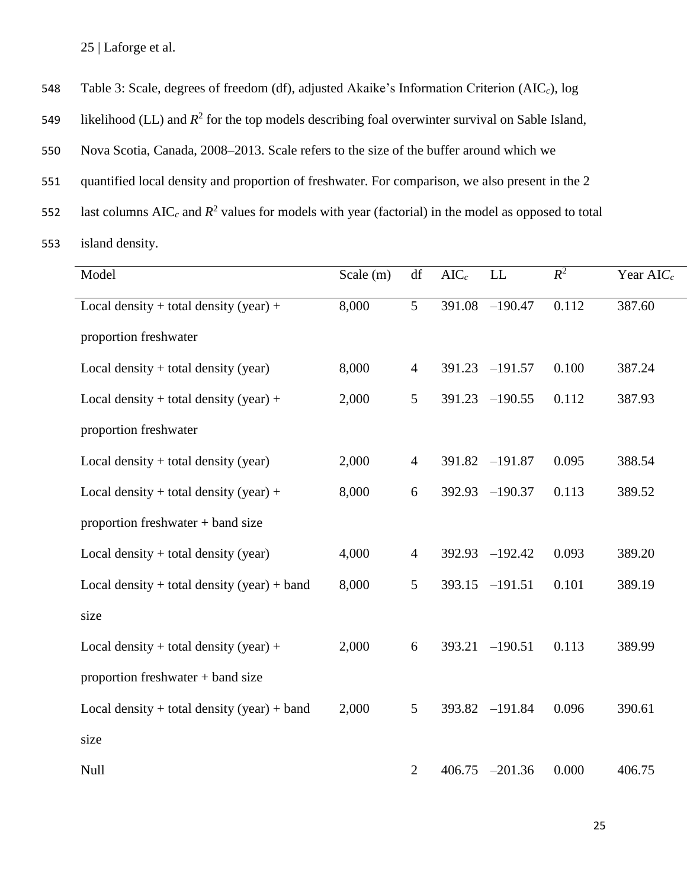548 Table 3: Scale, degrees of freedom (df), adjusted Akaike's Information Criterion (AIC*c*), log

549 likelihood (LL) and  $R^2$  for the top models describing foal overwinter survival on Sable Island,

550 Nova Scotia, Canada, 2008–2013. Scale refers to the size of the buffer around which we

551 quantified local density and proportion of freshwater. For comparison, we also present in the 2

552 last columns  $AIC_c$  and  $R^2$  values for models with year (factorial) in the model as opposed to total

553 island density.

| Model                                           | Scale (m) | df             | $AIC_c$ | LL        | $R^2$ | Year AIC <sub>c</sub> |
|-------------------------------------------------|-----------|----------------|---------|-----------|-------|-----------------------|
| Local density + total density (year) +          | 8,000     | 5              | 391.08  | $-190.47$ | 0.112 | 387.60                |
| proportion freshwater                           |           |                |         |           |       |                       |
| Local density $+$ total density (year)          | 8,000     | $\overline{4}$ | 391.23  | $-191.57$ | 0.100 | 387.24                |
| Local density + total density (year) +          | 2,000     | 5              | 391.23  | $-190.55$ | 0.112 | 387.93                |
| proportion freshwater                           |           |                |         |           |       |                       |
| Local density $+$ total density (year)          | 2,000     | $\overline{4}$ | 391.82  | $-191.87$ | 0.095 | 388.54                |
| Local density + total density (year) +          | 8,000     | 6              | 392.93  | $-190.37$ | 0.113 | 389.52                |
| proportion freshwater + band size               |           |                |         |           |       |                       |
| Local density $+$ total density (year)          | 4,000     | $\overline{4}$ | 392.93  | $-192.42$ | 0.093 | 389.20                |
| Local density $+$ total density (year) $+$ band | 8,000     | 5              | 393.15  | $-191.51$ | 0.101 | 389.19                |
| size                                            |           |                |         |           |       |                       |
| Local density $+$ total density (year) $+$      | 2,000     | $6\,$          | 393.21  | $-190.51$ | 0.113 | 389.99                |
| proportion freshwater + band size               |           |                |         |           |       |                       |
| Local density $+$ total density (year) $+$ band | 2,000     | 5              | 393.82  | $-191.84$ | 0.096 | 390.61                |
| size                                            |           |                |         |           |       |                       |
| Null                                            |           | $\overline{2}$ | 406.75  | $-201.36$ | 0.000 | 406.75                |